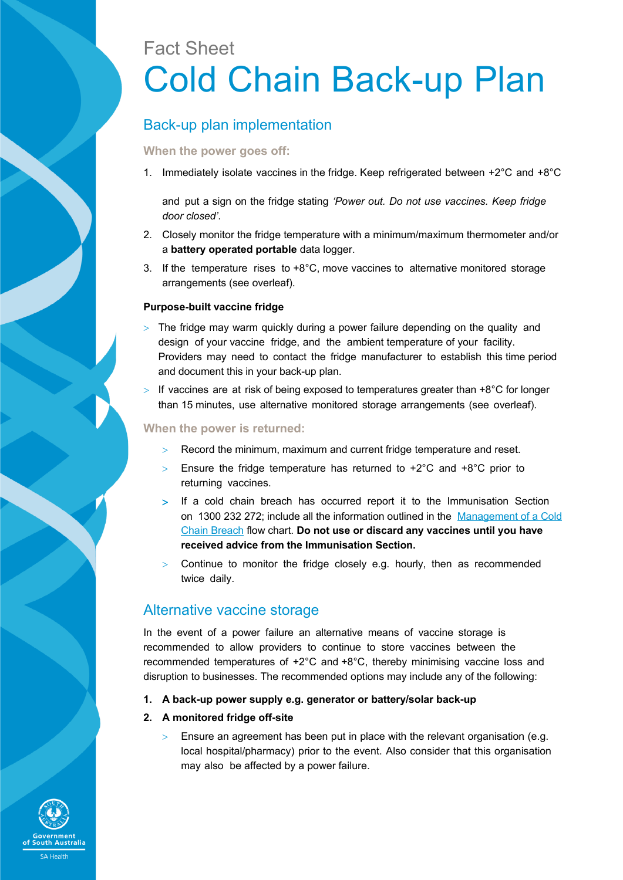# Fact Sheet Cold Chain Back-up Plan

## Back-up plan implementation

#### **When the power goes off:**

1. Immediately isolate vaccines in the fridge. Keep refrigerated between +2°C and +8°C

and put a sign on the fridge stating *'Power out. Do not use vaccines. Keep fridge door closed'*.

- 2. Closely monitor the fridge temperature with a minimum/maximum thermometer and/or a **battery operated portable** data logger.
- 3. If the temperature rises to +8°C, move vaccines to alternative monitored storage arrangements (see overleaf).

#### **Purpose-built vaccine fridge**

- $>$  The fridge may warm quickly during a power failure depending on the quality and design of your vaccine fridge, and the ambient temperature of your facility. Providers may need to contact the fridge manufacturer to establish this time period and document this in your back-up plan.
- If vaccines are at risk of being exposed to temperatures greater than  $+8^{\circ}$ C for longer than 15 minutes, use alternative monitored storage arrangements (see overleaf).

#### **When the power is returned:**

- Record the minimum, maximum and current fridge temperature and reset.
- $>$  Ensure the fridge temperature has returned to +2°C and +8°C prior to returning vaccines.
- > If a cold chain breach has occurred report it to the Immunisation Section on 1300 232 272; include all the information outlined in the [Management of a Cold](http://www.sahealth.sa.gov.au/wps/wcm/connect/6c3d4d80410f43519ae0db1afc50ebfc/Managing+a+Cold+Chain+Breach+May+2017.pdf?MOD=AJPERES&CACHEID=6c3d4d80410f43519ae0db1afc50ebfc) [Chain Breach](http://www.sahealth.sa.gov.au/wps/wcm/connect/6c3d4d80410f43519ae0db1afc50ebfc/Managing+a+Cold+Chain+Breach+May+2017.pdf?MOD=AJPERES&CACHEID=6c3d4d80410f43519ae0db1afc50ebfc) flow chart. **Do not use or discard any vaccines until you have received advice from the Immunisation Section.**
- $>$  Continue to monitor the fridge closely e.g. hourly, then as recommended twice daily.

### Alternative vaccine storage

In the event of a power failure an alternative means of vaccine storage is recommended to allow providers to continue to store vaccines between the recommended temperatures of +2°C and +8°C, thereby minimising vaccine loss and disruption to businesses. The recommended options may include any of the following:

- **1. A back-up power supply e.g. generator or battery/solar back-up**
- **2. A monitored fridge off-site**
	- Ensure an agreement has been put in place with the relevant organisation (e.g. local hospital/pharmacy) prior to the event. Also consider that this organisation may also be affected by a power failure.